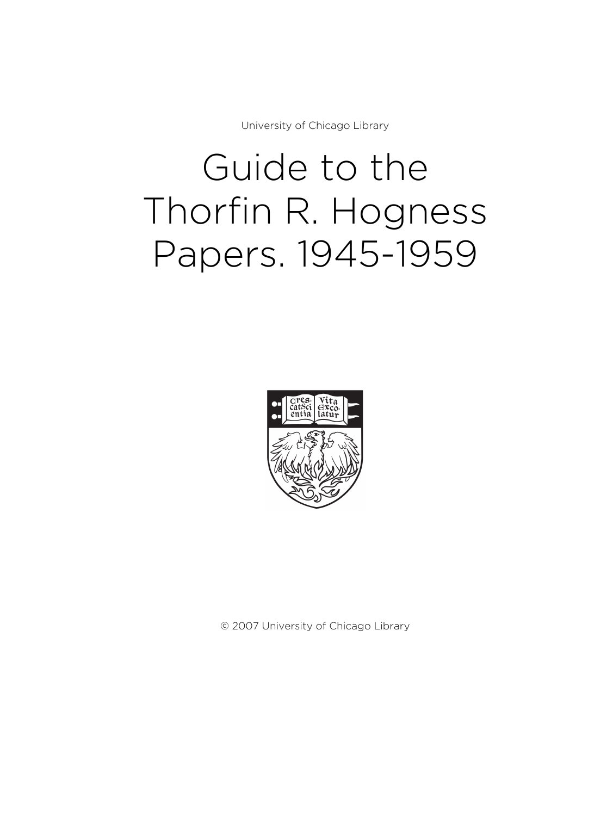University of Chicago Library

# Guide to the Thorfin R. Hogness Papers. 1945-1959



© 2007 University of Chicago Library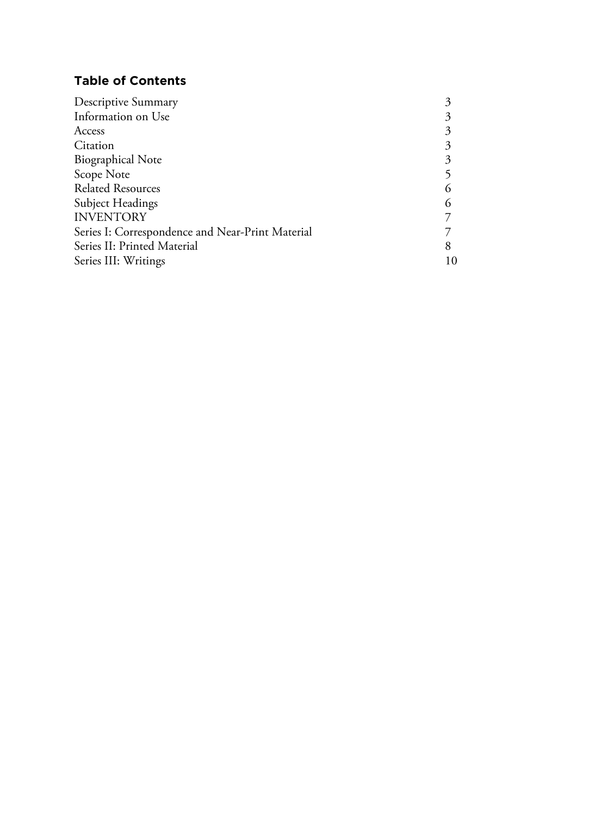# **Table of Contents**

| Information on Use<br>Access                     |
|--------------------------------------------------|
|                                                  |
|                                                  |
| Citation                                         |
| <b>Biographical Note</b>                         |
| Scope Note                                       |
| <b>Related Resources</b>                         |
| <b>Subject Headings</b>                          |
| <b>INVENTORY</b>                                 |
| Series I: Correspondence and Near-Print Material |
| Series II: Printed Material                      |
| Series III: Writings<br>10                       |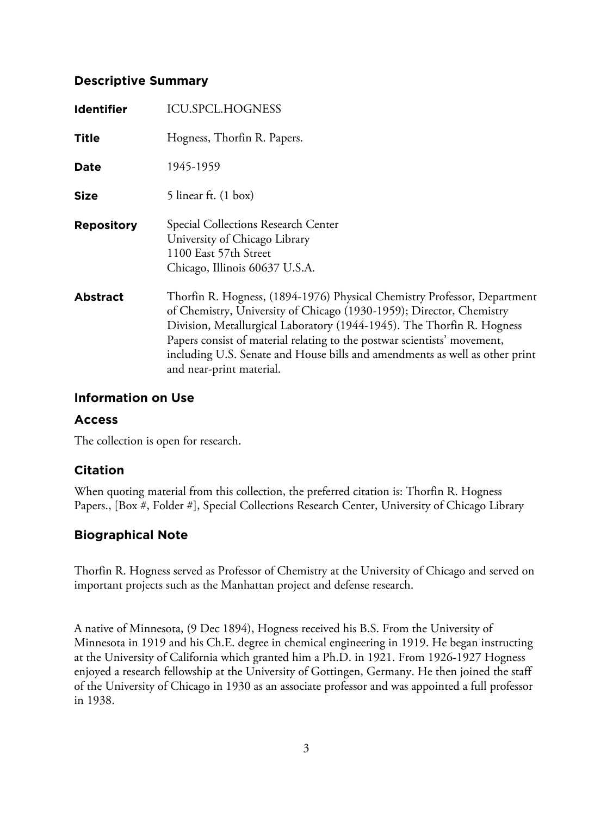# **Descriptive Summary**

| <b>Identifier</b> | <b>ICU.SPCL.HOGNESS</b>                                                                                                                                                                                                                                                                                                                                                                                           |
|-------------------|-------------------------------------------------------------------------------------------------------------------------------------------------------------------------------------------------------------------------------------------------------------------------------------------------------------------------------------------------------------------------------------------------------------------|
| <b>Title</b>      | Hogness, Thorfin R. Papers.                                                                                                                                                                                                                                                                                                                                                                                       |
| Date              | 1945-1959                                                                                                                                                                                                                                                                                                                                                                                                         |
| <b>Size</b>       | 5 linear ft. $(1 \text{ box})$                                                                                                                                                                                                                                                                                                                                                                                    |
| <b>Repository</b> | Special Collections Research Center<br>University of Chicago Library<br>1100 East 57th Street<br>Chicago, Illinois 60637 U.S.A.                                                                                                                                                                                                                                                                                   |
| <b>Abstract</b>   | Thorfin R. Hogness, (1894-1976) Physical Chemistry Professor, Department<br>of Chemistry, University of Chicago (1930-1959); Director, Chemistry<br>Division, Metallurgical Laboratory (1944-1945). The Thorfin R. Hogness<br>Papers consist of material relating to the postwar scientists' movement,<br>including U.S. Senate and House bills and amendments as well as other print<br>and near-print material. |

# **Information on Use**

# **Access**

The collection is open for research.

# **Citation**

When quoting material from this collection, the preferred citation is: Thorfin R. Hogness Papers., [Box #, Folder #], Special Collections Research Center, University of Chicago Library

# **Biographical Note**

Thorfin R. Hogness served as Professor of Chemistry at the University of Chicago and served on important projects such as the Manhattan project and defense research.

A native of Minnesota, (9 Dec 1894), Hogness received his B.S. From the University of Minnesota in 1919 and his Ch.E. degree in chemical engineering in 1919. He began instructing at the University of California which granted him a Ph.D. in 1921. From 1926-1927 Hogness enjoyed a research fellowship at the University of Gottingen, Germany. He then joined the staff of the University of Chicago in 1930 as an associate professor and was appointed a full professor in 1938.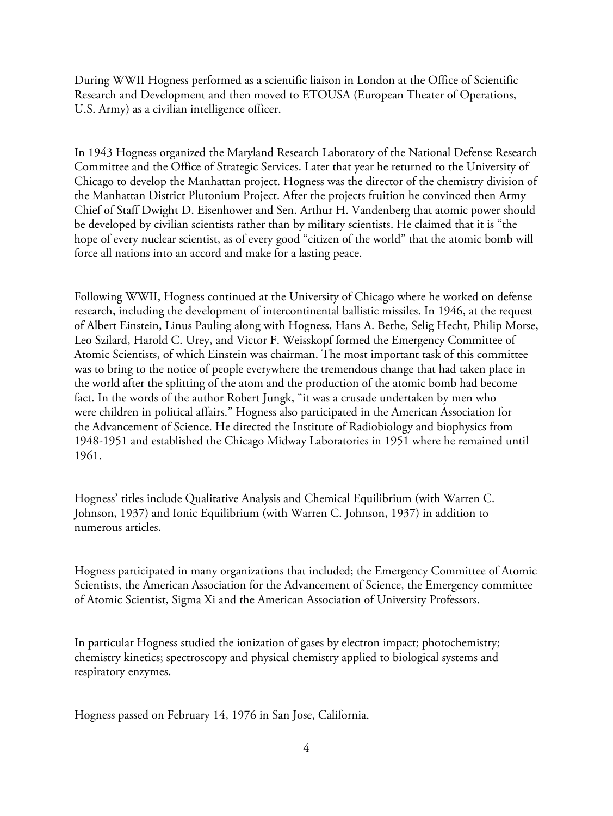During WWII Hogness performed as a scientific liaison in London at the Office of Scientific Research and Development and then moved to ETOUSA (European Theater of Operations, U.S. Army) as a civilian intelligence officer.

In 1943 Hogness organized the Maryland Research Laboratory of the National Defense Research Committee and the Office of Strategic Services. Later that year he returned to the University of Chicago to develop the Manhattan project. Hogness was the director of the chemistry division of the Manhattan District Plutonium Project. After the projects fruition he convinced then Army Chief of Staff Dwight D. Eisenhower and Sen. Arthur H. Vandenberg that atomic power should be developed by civilian scientists rather than by military scientists. He claimed that it is "the hope of every nuclear scientist, as of every good "citizen of the world" that the atomic bomb will force all nations into an accord and make for a lasting peace.

Following WWII, Hogness continued at the University of Chicago where he worked on defense research, including the development of intercontinental ballistic missiles. In 1946, at the request of Albert Einstein, Linus Pauling along with Hogness, Hans A. Bethe, Selig Hecht, Philip Morse, Leo Szilard, Harold C. Urey, and Victor F. Weisskopf formed the Emergency Committee of Atomic Scientists, of which Einstein was chairman. The most important task of this committee was to bring to the notice of people everywhere the tremendous change that had taken place in the world after the splitting of the atom and the production of the atomic bomb had become fact. In the words of the author Robert Jungk, "it was a crusade undertaken by men who were children in political affairs." Hogness also participated in the American Association for the Advancement of Science. He directed the Institute of Radiobiology and biophysics from 1948-1951 and established the Chicago Midway Laboratories in 1951 where he remained until 1961.

Hogness' titles include Qualitative Analysis and Chemical Equilibrium (with Warren C. Johnson, 1937) and Ionic Equilibrium (with Warren C. Johnson, 1937) in addition to numerous articles.

Hogness participated in many organizations that included; the Emergency Committee of Atomic Scientists, the American Association for the Advancement of Science, the Emergency committee of Atomic Scientist, Sigma Xi and the American Association of University Professors.

In particular Hogness studied the ionization of gases by electron impact; photochemistry; chemistry kinetics; spectroscopy and physical chemistry applied to biological systems and respiratory enzymes.

Hogness passed on February 14, 1976 in San Jose, California.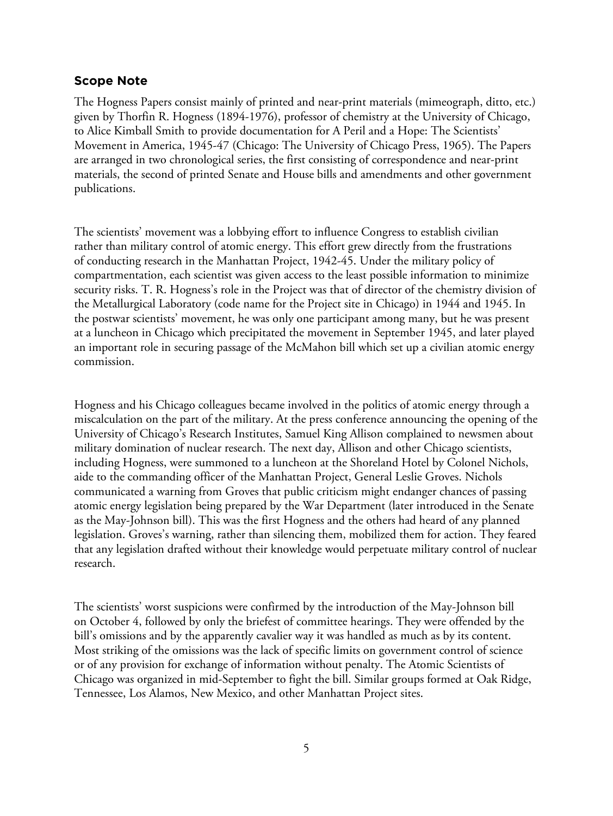#### **Scope Note**

The Hogness Papers consist mainly of printed and near-print materials (mimeograph, ditto, etc.) given by Thorfin R. Hogness (1894-1976), professor of chemistry at the University of Chicago, to Alice Kimball Smith to provide documentation for A Peril and a Hope: The Scientists' Movement in America, 1945-47 (Chicago: The University of Chicago Press, 1965). The Papers are arranged in two chronological series, the first consisting of correspondence and near-print materials, the second of printed Senate and House bills and amendments and other government publications.

The scientists' movement was a lobbying effort to influence Congress to establish civilian rather than military control of atomic energy. This effort grew directly from the frustrations of conducting research in the Manhattan Project, 1942-45. Under the military policy of compartmentation, each scientist was given access to the least possible information to minimize security risks. T. R. Hogness's role in the Project was that of director of the chemistry division of the Metallurgical Laboratory (code name for the Project site in Chicago) in 1944 and 1945. In the postwar scientists' movement, he was only one participant among many, but he was present at a luncheon in Chicago which precipitated the movement in September 1945, and later played an important role in securing passage of the McMahon bill which set up a civilian atomic energy commission.

Hogness and his Chicago colleagues became involved in the politics of atomic energy through a miscalculation on the part of the military. At the press conference announcing the opening of the University of Chicago's Research Institutes, Samuel King Allison complained to newsmen about military domination of nuclear research. The next day, Allison and other Chicago scientists, including Hogness, were summoned to a luncheon at the Shoreland Hotel by Colonel Nichols, aide to the commanding officer of the Manhattan Project, General Leslie Groves. Nichols communicated a warning from Groves that public criticism might endanger chances of passing atomic energy legislation being prepared by the War Department (later introduced in the Senate as the May-Johnson bill). This was the first Hogness and the others had heard of any planned legislation. Groves's warning, rather than silencing them, mobilized them for action. They feared that any legislation drafted without their knowledge would perpetuate military control of nuclear research.

The scientists' worst suspicions were confirmed by the introduction of the May-Johnson bill on October 4, followed by only the briefest of committee hearings. They were offended by the bill's omissions and by the apparently cavalier way it was handled as much as by its content. Most striking of the omissions was the lack of specific limits on government control of science or of any provision for exchange of information without penalty. The Atomic Scientists of Chicago was organized in mid-September to fight the bill. Similar groups formed at Oak Ridge, Tennessee, Los Alamos, New Mexico, and other Manhattan Project sites.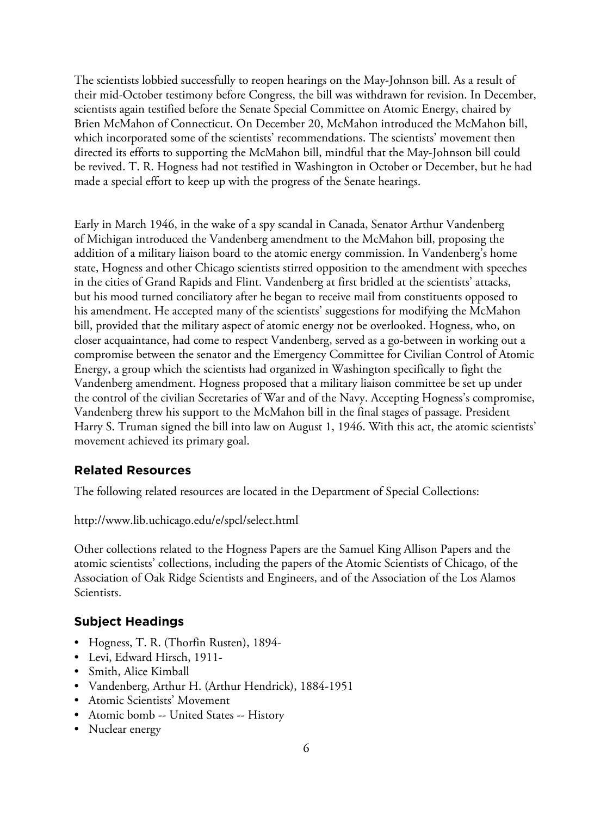The scientists lobbied successfully to reopen hearings on the May-Johnson bill. As a result of their mid-October testimony before Congress, the bill was withdrawn for revision. In December, scientists again testified before the Senate Special Committee on Atomic Energy, chaired by Brien McMahon of Connecticut. On December 20, McMahon introduced the McMahon bill, which incorporated some of the scientists' recommendations. The scientists' movement then directed its efforts to supporting the McMahon bill, mindful that the May-Johnson bill could be revived. T. R. Hogness had not testified in Washington in October or December, but he had made a special effort to keep up with the progress of the Senate hearings.

Early in March 1946, in the wake of a spy scandal in Canada, Senator Arthur Vandenberg of Michigan introduced the Vandenberg amendment to the McMahon bill, proposing the addition of a military liaison board to the atomic energy commission. In Vandenberg's home state, Hogness and other Chicago scientists stirred opposition to the amendment with speeches in the cities of Grand Rapids and Flint. Vandenberg at first bridled at the scientists' attacks, but his mood turned conciliatory after he began to receive mail from constituents opposed to his amendment. He accepted many of the scientists' suggestions for modifying the McMahon bill, provided that the military aspect of atomic energy not be overlooked. Hogness, who, on closer acquaintance, had come to respect Vandenberg, served as a go-between in working out a compromise between the senator and the Emergency Committee for Civilian Control of Atomic Energy, a group which the scientists had organized in Washington specifically to fight the Vandenberg amendment. Hogness proposed that a military liaison committee be set up under the control of the civilian Secretaries of War and of the Navy. Accepting Hogness's compromise, Vandenberg threw his support to the McMahon bill in the final stages of passage. President Harry S. Truman signed the bill into law on August 1, 1946. With this act, the atomic scientists' movement achieved its primary goal.

# **Related Resources**

The following related resources are located in the Department of Special Collections:

http://www.lib.uchicago.edu/e/spcl/select.html

Other collections related to the Hogness Papers are the Samuel King Allison Papers and the atomic scientists' collections, including the papers of the Atomic Scientists of Chicago, of the Association of Oak Ridge Scientists and Engineers, and of the Association of the Los Alamos Scientists.

# **Subject Headings**

- Hogness, T. R. (Thorfin Rusten), 1894-
- Levi, Edward Hirsch, 1911-
- Smith, Alice Kimball
- Vandenberg, Arthur H. (Arthur Hendrick), 1884-1951
- Atomic Scientists' Movement
- Atomic bomb -- United States -- History
- Nuclear energy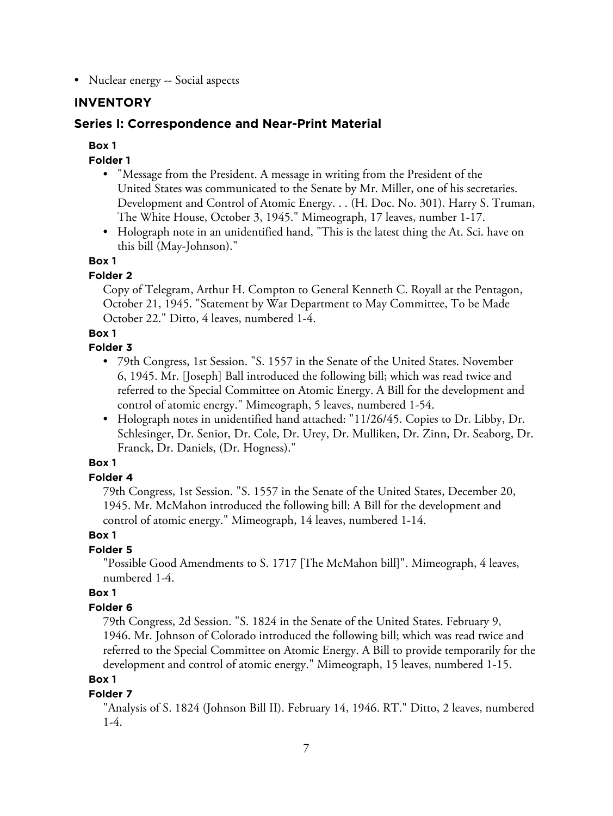• Nuclear energy -- Social aspects

# **INVENTORY**

# **Series I: Correspondence and Near-Print Material**

# **Box 1**

# **Folder 1**

- "Message from the President. A message in writing from the President of the United States was communicated to the Senate by Mr. Miller, one of his secretaries. Development and Control of Atomic Energy. . . (H. Doc. No. 301). Harry S. Truman, The White House, October 3, 1945." Mimeograph, 17 leaves, number 1-17.
- Holograph note in an unidentified hand, "This is the latest thing the At. Sci. have on this bill (May-Johnson)."

## **Box 1**

# **Folder 2**

Copy of Telegram, Arthur H. Compton to General Kenneth C. Royall at the Pentagon, October 21, 1945. "Statement by War Department to May Committee, To be Made October 22." Ditto, 4 leaves, numbered 1-4.

## **Box 1**

## **Folder 3**

- 79th Congress, 1st Session. "S. 1557 in the Senate of the United States. November 6, 1945. Mr. [Joseph] Ball introduced the following bill; which was read twice and referred to the Special Committee on Atomic Energy. A Bill for the development and control of atomic energy." Mimeograph, 5 leaves, numbered 1-54.
- Holograph notes in unidentified hand attached: "11/26/45. Copies to Dr. Libby, Dr. Schlesinger, Dr. Senior, Dr. Cole, Dr. Urey, Dr. Mulliken, Dr. Zinn, Dr. Seaborg, Dr. Franck, Dr. Daniels, (Dr. Hogness)."

# **Box 1**

# **Folder 4**

79th Congress, 1st Session. "S. 1557 in the Senate of the United States, December 20, 1945. Mr. McMahon introduced the following bill: A Bill for the development and control of atomic energy." Mimeograph, 14 leaves, numbered 1-14.

#### **Box 1**

# **Folder 5**

"Possible Good Amendments to S. 1717 [The McMahon bill]". Mimeograph, 4 leaves, numbered 1-4.

# **Box 1**

# **Folder 6**

79th Congress, 2d Session. "S. 1824 in the Senate of the United States. February 9, 1946. Mr. Johnson of Colorado introduced the following bill; which was read twice and referred to the Special Committee on Atomic Energy. A Bill to provide temporarily for the development and control of atomic energy." Mimeograph, 15 leaves, numbered 1-15.

# **Box 1**

# **Folder 7**

"Analysis of S. 1824 (Johnson Bill II). February 14, 1946. RT." Ditto, 2 leaves, numbered 1-4.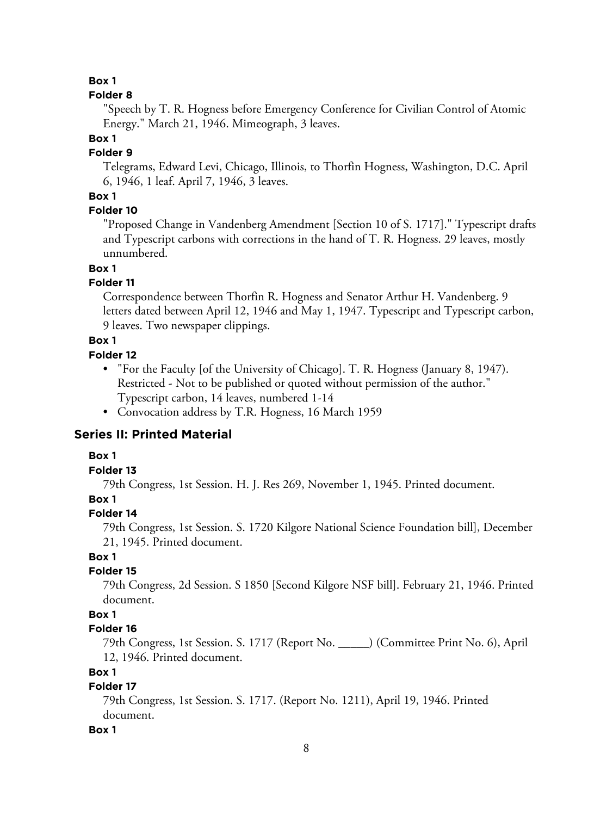# **Box 1**

## **Folder 8**

"Speech by T. R. Hogness before Emergency Conference for Civilian Control of Atomic Energy." March 21, 1946. Mimeograph, 3 leaves.

# **Box 1**

# **Folder 9**

Telegrams, Edward Levi, Chicago, Illinois, to Thorfin Hogness, Washington, D.C. April 6, 1946, 1 leaf. April 7, 1946, 3 leaves.

# **Box 1**

# **Folder 10**

"Proposed Change in Vandenberg Amendment [Section 10 of S. 1717]." Typescript drafts and Typescript carbons with corrections in the hand of T. R. Hogness. 29 leaves, mostly unnumbered.

# **Box 1**

# **Folder 11**

Correspondence between Thorfin R. Hogness and Senator Arthur H. Vandenberg. 9 letters dated between April 12, 1946 and May 1, 1947. Typescript and Typescript carbon, 9 leaves. Two newspaper clippings.

# **Box 1**

# **Folder 12**

- "For the Faculty [of the University of Chicago]. T. R. Hogness (January 8, 1947). Restricted - Not to be published or quoted without permission of the author." Typescript carbon, 14 leaves, numbered 1-14
- Convocation address by T.R. Hogness, 16 March 1959

# **Series II: Printed Material**

# **Box 1**

# **Folder 13**

79th Congress, 1st Session. H. J. Res 269, November 1, 1945. Printed document.

# **Box 1**

# **Folder 14**

79th Congress, 1st Session. S. 1720 Kilgore National Science Foundation bill], December 21, 1945. Printed document.

# **Box 1**

# **Folder 15**

79th Congress, 2d Session. S 1850 [Second Kilgore NSF bill]. February 21, 1946. Printed document.

# **Box 1**

# **Folder 16**

79th Congress, 1st Session. S. 1717 (Report No. \_\_\_\_\_) (Committee Print No. 6), April 12, 1946. Printed document.

# **Box 1**

# **Folder 17**

79th Congress, 1st Session. S. 1717. (Report No. 1211), April 19, 1946. Printed document.

# **Box 1**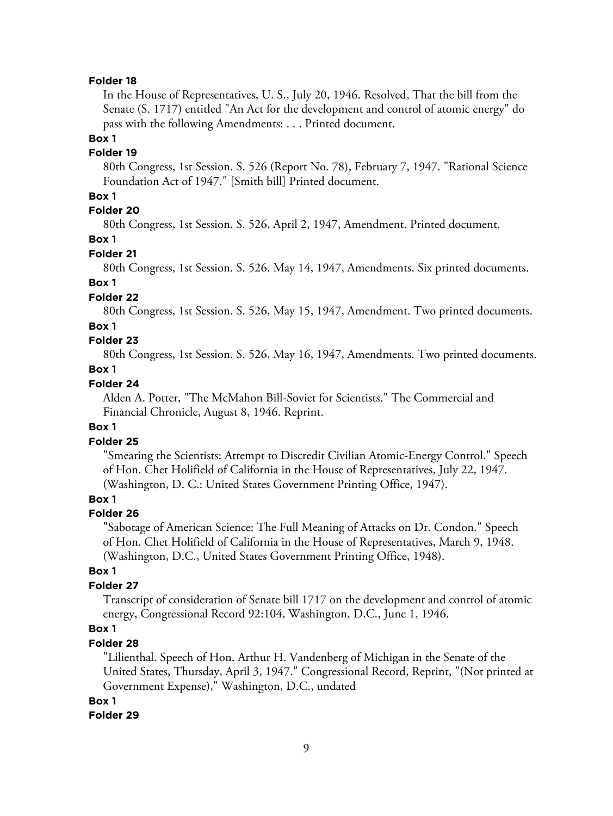#### **Folder 18**

In the House of Representatives, U. S., July 20, 1946. Resolved, That the bill from the Senate (S. 1717) entitled "An Act for the development and control of atomic energy" do pass with the following Amendments: . . . Printed document.

#### **Box 1**

#### **Folder 19**

80th Congress, 1st Session. S. 526 (Report No. 78), February 7, 1947. "Rational Science Foundation Act of 1947." [Smith bill] Printed document.

## **Box 1**

# **Folder 20**

80th Congress, 1st Session. S. 526, April 2, 1947, Amendment. Printed document.

## **Box 1**

#### **Folder 21**

80th Congress, 1st Session. S. 526. May 14, 1947, Amendments. Six printed documents.

# **Box 1**

# **Folder 22**

80th Congress, 1st Session. S. 526, May 15, 1947, Amendment. Two printed documents.

#### **Box 1**

# **Folder 23**

80th Congress, 1st Session. S. 526, May 16, 1947, Amendments. Two printed documents.

# **Box 1**

# **Folder 24**

Alden A. Potter, "The McMahon Bill-Soviet for Scientists." The Commercial and Financial Chronicle, August 8, 1946. Reprint.

#### **Box 1**

# **Folder 25**

"Smearing the Scientists: Attempt to Discredit Civilian Atomic-Energy Control." Speech of Hon. Chet Holifield of California in the House of Representatives, July 22, 1947. (Washington, D. C.: United States Government Printing Office, 1947).

## **Box 1**

## **Folder 26**

"Sabotage of American Science: The Full Meaning of Attacks on Dr. Condon." Speech of Hon. Chet Holifield of California in the House of Representatives, March 9, 1948. (Washington, D.C., United States Government Printing Office, 1948).

## **Box 1**

## **Folder 27**

Transcript of consideration of Senate bill 1717 on the development and control of atomic energy, Congressional Record 92:104, Washington, D.C., June 1, 1946.

# **Box 1**

## **Folder 28**

"Lilienthal. Speech of Hon. Arthur H. Vandenberg of Michigan in the Senate of the United States, Thursday, April 3, 1947." Congressional Record, Reprint, "(Not printed at Government Expense)," Washington, D.C., undated

#### **Box 1**

#### **Folder 29**